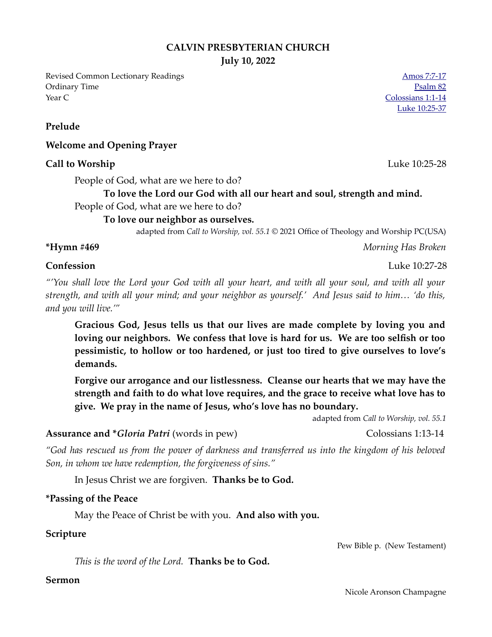### **CALVIN PRESBYTERIAN CHURCH**

**July 10, 2022**

Revised Common Lectionary Readings [Amos 7:7-17](https://www.biblegateway.com/passage/?search=Amos+7%3A7-17&version=NRSVUE) Ordinary Time [Psalm 82](https://www.biblegateway.com/passage/?search=Psalm+82&version=NRSVUE) Year C [Colossians 1:1-14](https://www.biblegateway.com/passage/?search=Colossians+1%3A1-14&version=NRSVUE)

[Luke 10:25-37](https://www.biblegateway.com/passage/?search=Luke+10%3A25-37&version=NRSVUE)

**Prelude**

### **Welcome and Opening Prayer**

#### **Call to Worship** Luke 10:25-28

People of God, what are we here to do?

# **To love the Lord our God with all our heart and soul, strength and mind.**

# People of God, what are we here to do?

# **To love our neighbor as ourselves.**

adapted from *Call to Worship, vol. 55.1* © 2021 Office of Theology and Worship PC(USA)

**\*Hymn #469** *Morning Has Broken*

*"'You shall love the Lord your God with all your heart, and with all your soul, and with all your strength, and with all your mind; and your neighbor as yourself.' And Jesus said to him… 'do this, and you will live.'"*

**Gracious God, Jesus tells us that our lives are made complete by loving you and loving our neighbors. We confess that love is hard for us. We are too selfish or too pessimistic, to hollow or too hardened, or just too tired to give ourselves to love's demands.**

**Forgive our arrogance and our listlessness. Cleanse our hearts that we may have the strength and faith to do what love requires, and the grace to receive what love has to give. We pray in the name of Jesus, who's love has no boundary.**

adapted from *Call to Worship, vol. 55.1* 

# Assurance and \**Gloria Patri* (words in pew) Colossians 1:13-14

*"God has rescued us from the power of darkness and transferred us into the kingdom of his beloved Son, in whom we have redemption, the forgiveness of sins."*

In Jesus Christ we are forgiven. **Thanks be to God.**

#### **\*Passing of the Peace**

May the Peace of Christ be with you. **And also with you.**

## **Scripture**

Pew Bible p. (New Testament)

*This is the word of the Lord.* **Thanks be to God.**

#### **Sermon**

#### Nicole Aronson Champagne

**Confession** Luke 10:27-28